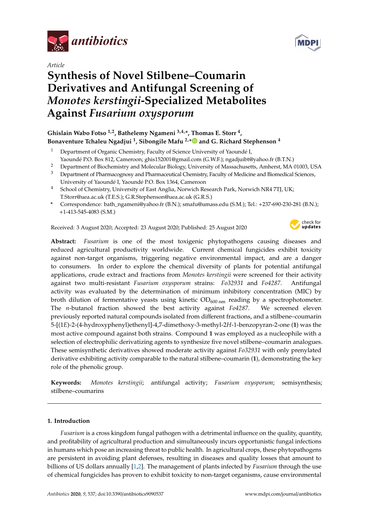

*Article*

# **Synthesis of Novel Stilbene–Coumarin Derivatives and Antifungal Screening of** *Monotes kerstingii***-Specialized Metabolites Against** *Fusarium oxysporum*

# **Ghislain Wabo Fotso 1,2, Bathelemy Ngameni 3,4,\*, Thomas E. Storr <sup>4</sup> , Bonaventure Tchaleu Ngadjui <sup>1</sup> , Sibongile Mafu 2,[\\*](https://orcid.org/0000-0002-8049-8798) and G. Richard Stephenson <sup>4</sup>**

- <sup>1</sup> Department of Organic Chemistry, Faculty of Science University of Yaoundé I, Yaoundé P.O. Box 812, Cameroon; ghis152001@gmail.com (G.W.F.); ngadjuibt@yahoo.fr (B.T.N.)
- <sup>2</sup> Department of Biochemistry and Molecular Biology, University of Massachusetts, Amherst, MA 01003, USA
- <sup>3</sup> Department of Pharmacognosy and Pharmaceutical Chemistry, Faculty of Medicine and Biomedical Sciences, University of Yaoundé I, Yaoundé P.O. Box 1364, Cameroon
- <sup>4</sup> School of Chemistry, University of East Anglia, Norwich Research Park, Norwich NR4 7TJ, UK; T.Storr@uea.ac.uk (T.E.S.); G.R.Stephenson@uea.ac.uk (G.R.S.)
- **\*** Correspondence: bath\_ngameni@yahoo.fr (B.N.); smafu@umass.edu (S.M.); Tel.: +237-690-230-281 (B.N.); +1-413-545-4083 (S.M.)

Received: 3 August 2020; Accepted: 23 August 2020; Published: 25 August 2020



**Abstract:** *Fusarium* is one of the most toxigenic phytopathogens causing diseases and reduced agricultural productivity worldwide. Current chemical fungicides exhibit toxicity against non-target organisms, triggering negative environmental impact, and are a danger to consumers. In order to explore the chemical diversity of plants for potential antifungal applications, crude extract and fractions from *Monotes kerstingii* were screened for their activity against two multi-resistant *Fusarium oxysporum* strains: *Fo32931* and *Fo4287*. Antifungal activity was evaluated by the determination of minimum inhibitory concentration (MIC) by broth dilution of fermentative yeasts using kinetic  $OD_{600 \text{ nm}}$  reading by a spectrophotometer. The *n*-butanol fraction showed the best activity against *Fo4287*. We screened eleven previously reported natural compounds isolated from different fractions, and a stilbene–coumarin 5-[(1*E*)-2-(4-hydroxyphenyl)ethenyl]-4,7-dimethoxy-3-methyl-2*H*-1-benzopyran-2-one (**1**) was the most active compound against both strains. Compound **1** was employed as a nucleophile with a selection of electrophilic derivatizing agents to synthesize five novel stilbene–coumarin analogues. These semisynthetic derivatives showed moderate activity against *Fo32931* with only prenylated derivative exhibiting activity comparable to the natural stilbene–coumarin (**1**), demonstrating the key role of the phenolic group.

**Keywords:** *Monotes kerstingii*; antifungal activity; *Fusarium oxysporum*; semisynthesis; stilbene–coumarins

# **1. Introduction**

*Fusarium* is a cross kingdom fungal pathogen with a detrimental influence on the quality, quantity, and profitability of agricultural production and simultaneously incurs opportunistic fungal infections in humans which pose an increasing threat to public health. In agricultural crops, these phytopathogens are persistent in avoiding plant defenses, resulting in diseases and quality losses that amount to billions of US dollars annually [\[1](#page-10-0)[,2\]](#page-10-1). The management of plants infected by *Fusarium* through the use of chemical fungicides has proven to exhibit toxicity to non-target organisms, cause environmental

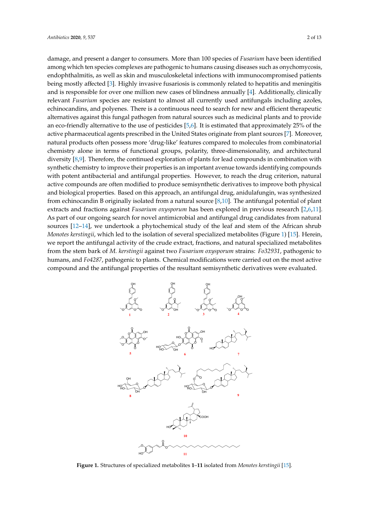damage, and present a danger to consumers. More than 100 species of *Fusarium* have been identified among which ten species complexes are pathogenic to humans causing diseases such as onychomycosis, endophthalmitis, as well as skin and musculoskeletal infections with immunocompromised patients being mostly affected [\[3\]](#page-10-2). Highly invasive fusariosis is commonly related to hepatitis and meningitis and is responsible for over one million new cases of blindness annually [\[4\]](#page-10-3). Additionally, clinically relevant *Fusarium* species are resistant to almost all currently used antifungals including azoles, echinocandins, and polyenes. There is a continuous need to search for new and efficient therapeutic alternatives against this fungal pathogen from natural sources such as medicinal plants and to provide an eco-friendly alternative to the use of pesticides [\[5](#page-10-4)[,6\]](#page-10-5). It is estimated that approximately 25% of the active pharmaceutical agents prescribed in the United States originate from plant sources [\[7\]](#page-10-6). Moreover, natural products often possess more 'drug-like' features compared to molecules from combinatorial chemistry alone in terms of functional groups, polarity, three-dimensionality, and architectural diversity [\[8,](#page-10-7)[9\]](#page-10-8). Therefore, the continued exploration of plants for lead compounds in combination with synthetic chemistry to improve their properties is an important avenue towards identifying compounds with potent antibacterial and antifungal properties. However, to reach the drug criterion, natural active compounds are often modified to produce semisynthetic derivatives to improve both physical and biological properties. Based on this approach, an antifungal drug, anidulafungin, was synthesized from echinocandin B originally isolated from a natural source [\[8](#page-10-7)[,10\]](#page-10-9). The antifungal potential of plant extracts and fractions against *Fusarium oxysporum* has been explored in previous research [\[2,](#page-10-1)[6,](#page-10-5)[11\]](#page-10-10). As part of our ongoing search for novel antimicrobial and antifungal drug candidates from natural sources [\[12](#page-10-11)[–14\]](#page-10-12), we undertook a phytochemical study of the leaf and stem of the African shrub *Monotes kerstingii*, which led to the isolation of several specialized metabolites (Figure [1\)](#page-1-0) [\[15\]](#page-10-13). Herein, we report the antifungal activity of the crude extract, fractions, and natural specialized metabolites from the stem bark of *M. kerstingii* against two *Fusarium oxysporum* strains: *Fo32931*, pathogenic to humans, and *Fo4287*, pathogenic to plants. Chemical modifications were carried out on the most active compound and the antifungal properties of the resultant semisynthetic derivatives were evaluated.

<span id="page-1-0"></span>

Figure 1. Structures of specialized metabolites 1-11 isolated from Monotes kerstingii [\[15\]](#page-10-13).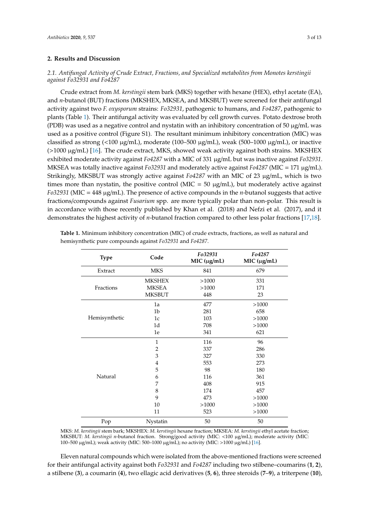## **2. Results and Discussion**

# *2.1. Antifungal Activity of Crude Extract, Fractions, and Specialized metabolites from Monotes kerstingii against Fo32931 and Fo4287*

Crude extract from *M. kerstingii* stem bark (MKS) together with hexane (HEX), ethyl acetate (EA), and *n*-butanol (BUT) fractions (MKSHEX, MKSEA, and MKSBUT) were screened for their antifungal activity against two *F. oxysporum* strains: *Fo32931*, pathogenic to humans, and *Fo4287*, pathogenic to plants (Table [1\)](#page-2-0). Their antifungal activity was evaluated by cell growth curves. Potato dextrose broth (PDB) was used as a negative control and nystatin with an inhibitory concentration of 50  $\mu$ g/mL was used as a positive control (Figure S1). The resultant minimum inhibitory concentration (MIC) was classified as strong (<100 µg/mL), moderate (100–500 µg/mL), weak (500–1000 µg/mL), or inactive  $(>1000 \mu g/mL)$  [\[16\]](#page-10-14). The crude extract, MKS, showed weak activity against both strains. MKSHEX exhibited moderate activity against *Fo4287* with a MIC of 331 µg/mL but was inactive against *Fo32931*. MKSEA was totally inactive against *Fo32931* and moderately active against *Fo4287* (MIC = 171 µg/mL). Strikingly, MKSBUT was strongly active against *Fo4287* with an MIC of 23 µg/mL, which is two times more than nystatin, the positive control (MIC =  $50 \mu g/mL$ ), but moderately active against *Fo32931* (MIC = 448 µg/mL). The presence of active compounds in the *n*-butanol suggests that active fractions/compounds against *Fusarium* spp. are more typically polar than non-polar. This result is in accordance with those recently published by Khan et al. (2018) and Nefzi et al. (2017), and it demonstrates the highest activity of *n*-butanol fraction compared to other less polar fractions [\[17](#page-10-15)[,18\]](#page-11-0).

| <b>Type</b>   | Code           | Fo32931<br>MIC (µg/mL) | Fo4287<br>MIC (µg/mL) |
|---------------|----------------|------------------------|-----------------------|
| Extract       | <b>MKS</b>     | 841                    | 679                   |
|               | <b>MKSHEX</b>  | >1000                  | 331                   |
| Fractions     | <b>MKSEA</b>   | >1000                  | 171                   |
|               | <b>MKSBUT</b>  | 448                    | 23                    |
|               | 1a             | 477                    | >1000                 |
|               | 1 <sub>b</sub> | 281                    | 658                   |
| Hemisynthetic | 1c             | 103                    | >1000                 |
|               | 1d             | 708                    | >1000                 |
|               | 1e             | 341                    | 621                   |
|               | $\mathbf{1}$   | 116                    | 96                    |
|               | $\overline{2}$ | 337                    | 286                   |
|               | 3              | 327                    | 330                   |
|               | $\overline{4}$ | 553                    | 273                   |
|               | 5              | 98                     | 180                   |
| Natural       | 6              | 116                    | 361                   |
|               | 7              | 408                    | 915                   |
|               | $\,$ 8 $\,$    | 174                    | 457                   |
|               | 9              | 473                    | >1000                 |
|               | 10             | >1000                  | >1000                 |
|               | 11             | 523                    | >1000                 |
| Pop           | Nystatin       | 50                     | 50                    |

<span id="page-2-0"></span>**Table 1.** Minimum inhibitory concentration (MIC) of crude extracts, fractions, as well as natural and hemisynthetic pure compounds against *Fo32931* and *Fo4287*.

MKS: *M. kerstingii* stem bark; MKSHEX: *M. kerstingii* hexane fraction; MKSEA: *M. kerstingii* ethyl acetate fraction; MKSBUT: *M. kerstingii n*-butanol fraction. Strong/good activity (MIC: <100 µg/mL); moderate activity (MIC: 100–500 µg/mL); weak activity (MIC: 500–1000 µg/mL); no activity (MIC: >1000 µg/mL) [\[16\]](#page-10-14).

Eleven natural compounds which were isolated from the above-mentioned fractions were screened for their antifungal activity against both *Fo32931* and *Fo4287* including two stilbene–coumarins (**1**, **2**), a stilbene (**3**), a coumarin (**4**), two ellagic acid derivatives (**5**, **6**), three steroids (**7**–**9**), a triterpene (**10**),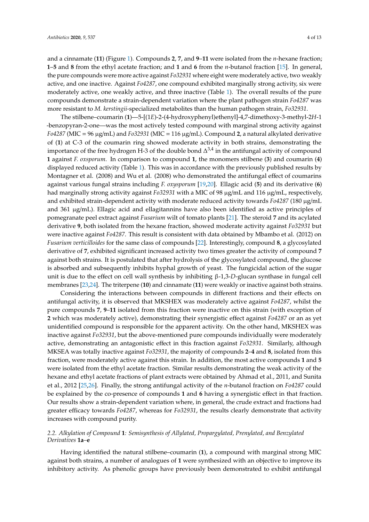and a cinnamate (**11**) (Figure [1\)](#page-1-0). Compounds **2**, **7**, and **9**–**11** were isolated from the *n*-hexane fraction; **1**–**5** and **8** from the ethyl acetate fraction; and **1** and **6** from the *n*-butanol fraction [\[15\]](#page-10-13). In general, the pure compounds were more active against *Fo32931* where eight were moderately active, two weakly active, and one inactive. Against *Fo4287*, one compound exhibited marginally strong activity, six were moderately active, one weakly active, and three inactive (Table [1\)](#page-2-0). The overall results of the pure compounds demonstrate a strain-dependent variation where the plant pathogen strain *Fo4287* was more resistant to *M. kerstingii*-specialized metabolites than the human pathogen strain, *Fo32931*.

The stilbene–coumarin (**1**)—5-[(1*E*)-2-(4-hydroxyphenyl)ethenyl]-4,7-dimethoxy-3-methyl-2*H*-1 -benzopyran-2-one—was the most actively tested compound with marginal strong activity against *Fo4287* (MIC = 96 µg/mL) and *Fo32931* (MIC = 116 µg/mL). Compound **2**, a natural alkylated derivative of (**1**) at C-3 of the coumarin ring showed moderate activity in both strains, demonstrating the importance of the free hydrogen H-3 of the double bond  $\Delta^{3,4}$  in the antifungal activity of compound **1** against *F. oxsporum*. In comparison to compound **1**, the monomers stilbene (**3**) and coumarin (**4**) displayed reduced activity (Table [1\)](#page-2-0). This was in accordance with the previously published results by Montagner et al. (2008) and Wu et al. (2008) who demonstrated the antifungal effect of coumarins against various fungal strains including *F. oxysporum* [\[19,](#page-11-1)[20\]](#page-11-2). Ellagic acid (**5**) and its derivative (**6**) had marginally strong activity against *Fo32931* with a MIC of 98 µg/mL and 116 µg/mL, respectively, and exhibited strain-dependent activity with moderate reduced activity towards *Fo4287* (180 µg/mL and 361 µg/mL). Ellagic acid and ellagitannins have also been identified as active principles of pomegranate peel extract against *Fusarium* wilt of tomato plants [\[21\]](#page-11-3). The steroid **7** and its acylated derivative **9**, both isolated from the hexane fraction, showed moderate activity against *Fo32931* but were inactive against *Fo4287*. This result is consistent with data obtained by Mbambo et al. (2012) on *Fusarium verticilloides* for the same class of compounds [\[22\]](#page-11-4). Interestingly, compound **8**, a glycosylated derivative of **7**, exhibited significant increased activity two times greater the activity of compound **7** against both strains. It is postulated that after hydrolysis of the glycosylated compound, the glucose is absorbed and subsequently inhibits hyphal growth of yeast. The fungicidal action of the sugar unit is due to the effect on cell wall synthesis by inhibiting β-1,3-*D*-glucan synthase in fungal cell membranes [\[23](#page-11-5)[,24\]](#page-11-6). The triterpene (**10**) and cinnamate (**11**) were weakly or inactive against both strains.

Considering the interactions between compounds in different fractions and their effects on antifungal activity, it is observed that MKSHEX was moderately active against *Fo4287*, whilst the pure compounds **7**, **9**–**11** isolated from this fraction were inactive on this strain (with exception of **2** which was moderately active), demonstrating their synergistic effect against *Fo4287* or an as yet unidentified compound is responsible for the apparent activity. On the other hand, MKSHEX was inactive against *Fo32931*, but the above-mentioned pure compounds individually were moderately active, demonstrating an antagonistic effect in this fraction against *Fo32931*. Similarly, although MKSEA was totally inactive against *Fo32931*, the majority of compounds **2**–**4** and **8**, isolated from this fraction, were moderately active against this strain. In addition, the most active compounds **1** and **5** were isolated from the ethyl acetate fraction. Similar results demonstrating the weak activity of the hexane and ethyl acetate fractions of plant extracts were obtained by Ahmad et al., 2011, and Sunita et al., 2012 [\[25,](#page-11-7)[26\]](#page-11-8). Finally, the strong antifungal activity of the *n*-butanol fraction on *Fo4287* could be explained by the co-presence of compounds **1** and **6** having a synergistic effect in that fraction. Our results show a strain-dependent variation where, in general, the crude extract and fractions had greater efficacy towards *Fo4287*, whereas for *Fo32931*, the results clearly demonstrate that activity increases with compound purity.

## *2.2. Alkylation of Compound* **1***: Semisynthesis of Allylated, Propargylated, Prenylated, and Benzylated Derivatives* **1a***–***e**

Having identified the natural stilbene–coumarin (**1**), a compound with marginal strong MIC against both strains, a number of analogues of **1** were synthesized with an objective to improve its inhibitory activity. As phenolic groups have previously been demonstrated to exhibit antifungal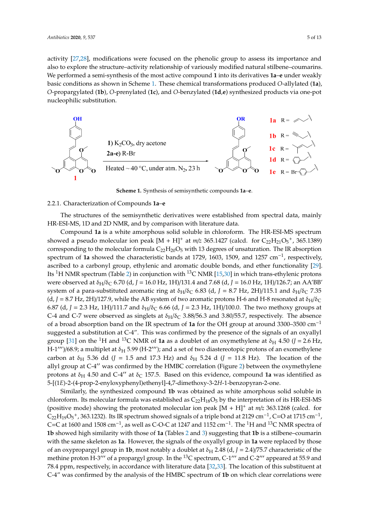activity [\[27](#page-11-9)[,28\]](#page-11-10), modifications were focused on the phenolic group to assess its importance and also to explore the structure–activity relationship of variously modified natural stilbene–coumarins. to explore the structure–activity relationship of variously modified natural stilbene–coumarins. We We performed a semi-synthesis of the most active compound  $\boldsymbol{1}$  into its derivatives  $\boldsymbol{1}$ a-e under weakly basic conditions as shown in Scheme [1.](#page-4-0) These chemical transformations produced *O*-allylated (**1a**), basic conditions as shown in Scheme 1. These chemical transformations produced *O*-allylated (**1a**), O-propargylated (1b), O-prenylated (1c), and O-benzylated (1d,e) synthesized products via one-pot nucleophilic substitution. nucleophilic substitution. inhibitory activity. As phenolic groups have previously been demonstrated to exhibit antifungal curvity  $[27,28]$ , modifications were focused on the phenolic group to assess its importance and also contained and also contained and also contained and also contained and also contained and also contained also contained

<span id="page-4-0"></span>

**Scheme 1.** Synthesis of semisynthetic compounds **1a**–**e. Scheme 1.** Synthesis of semisynthetic compounds **1a**–**e**.

# 2.2.1. Characterization of Compounds **1a**–**e** 2.2.1. Characterization of Compounds **1a**–**e**

The structures of the semisynthetic derivatives were established from spectral data, mainly HR-ESI-MS, 1D and 2D NMR, and by comparison with literature data.

Compound **1a** is a white amorphous solid soluble in chloroform. The HR-ESI-MS spectrum showed a pseudo molecular ion peak  $[M + H]^+$  at  $m/z$  365.1427 (calcd. for  $C_{22}H_{21}O_5^+$ , 365.1389) corresponding to the molecular formula  $C_{22}H_{20}O_5$  with 13 degrees of unsaturation. The IR absorption spectrum of **1a** showed the characteristic bands at 1729, 1603, 1509, and 1257 cm<sup>-1</sup>, respectively, ascribed to a carbonyl group, ethylenic and aromatic double bonds, and ether functionality [\[29\]](#page-11-11). Its <sup>1</sup>H NMR spectrum (Table [2\)](#page-5-0) in conjunction with <sup>13</sup>C NMR [\[15,](#page-10-13)[30\]](#page-11-12) in which trans-ethylenic protons were observed at δ<sub>H</sub>/δ<sub>C</sub> 6.70 (d, *J* = 16.0 Hz, 1H)/131.4 and 7.68 (d, *J* = 16.0 Hz, 1H)/126.7; an AA'BB' system of a para-substituted aromatic ring at  $\delta_H/\delta_C$  6.83 (d, *J* = 8.7 Hz, 2H)/115.1 and  $\delta_H/\delta_C$  7.35 (d,  $J = 8.7$  Hz, 2H)/127.9, while the AB system of two aromatic protons H-6 and H-8 resonated at  $\delta_H/\delta_C$ 6.87 (d, *J* = 2.3 Hz, 1H)/111.7 and  $\delta_H/\delta_C$  6.66 (d, *J* = 2.3 Hz, 1H)/100.0. The two methoxy groups at C-4 and C-7 were observed as singlets at  $\delta_H/\delta_C$  3.88/56.3 and 3.80/55.7, respectively. The absence of a broad absorption band on the IR spectrum of **1a** for the OH group at around 3300–3500 cm−<sup>1</sup> suggested a substitution at C-4". This was confirmed by the presence of the signals of an oxyallyl group [\[31\]](#page-11-13) on the <sup>1</sup>H and <sup>13</sup>C NMR of **1a** as a doublet of an oxymethylene at  $\delta_H$  4.50 (*J* = 2.6 Hz, H-1 $''$ )/68.9; a multiplet at  $\delta_H$  5.99 (H-2 $''$ ); and a set of two diastereotopic protons of an exomethylene carbon at  $\delta_H$  5.36 dd (*J* = 1.5 and 17.3 Hz) and  $\delta_H$  5.24 d (*J* = 11.8 Hz). The location of the allyl group at  $C-4$ <sup> $\prime\prime$ </sup> was confirmed by the HMBC correlation (Figure [2\)](#page-5-1) between the oxymethylene protons at  $\delta_H$  4.50 and C-4" at  $\delta_C$  157.5. Based on this evidence, compound 1a was identified as 5-[(1*E*)-2-(4-prop-2-enyloxyphenyl)ethenyl]-4,7-dimethoxy-3-2*H*-1-benzopyran-2-one.

Similarly, the synthesized compound **1b** was obtained as white amorphous solid soluble in chloroform. Its molecular formula was established as  $C_{22}H_{18}O_5$  by the interpretation of its HR-ESI-MS (positive mode) showing the protonated molecular ion peak [M + H]<sup>+</sup> at *m*/*z* 363.1268 (calcd. for  $C_{22}H_{19}O_5$ <sup>+</sup>, 363.1232). Its IR spectrum showed signals of a triple bond at 2129 cm<sup>-1</sup>, C=O at 1715 cm<sup>-1</sup>, C=C at 1600 and 1508 cm<sup>-1</sup>, as well as C-O-C at 1247 and 1152 cm<sup>-1</sup>. The <sup>1</sup>H and <sup>13</sup>C NMR spectra of **1b** showed high similarity with those of **1a** (Tables [2](#page-5-0) and [3\)](#page-6-0) suggesting that **1b** is a stilbene–coumarin with the same skeleton as **1a**. However, the signals of the oxyallyl group in **1a** were replaced by those of an oxypropargyl group in **1b**, most notably a doublet at  $\delta_H$  2.48 (d,  $J = 2.4$ )/75.7 characteristic of the methine proton H-3<sup>*m*</sup> of a propargyl group. In the <sup>13</sup>C spectrum, C-1<sup>*m*</sup> and C-2<sup>*m*</sup> appeared at 55.9 and 78.4 ppm, respectively, in accordance with literature data [\[32](#page-11-14)[,33\]](#page-11-15). The location of this substituent at C-4" was confirmed by the analysis of the HMBC spectrum of **1b** on which clear correlations were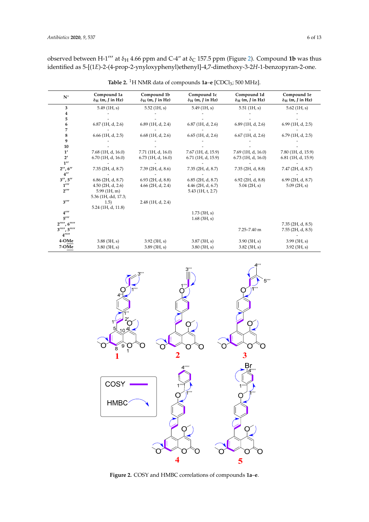observed between H-1<sup> $''$ </sup> at  $\delta$ <sub>H</sub> 4.66 ppm and C-4" at  $\delta$ <sub>C</sub> 157.5 ppm (Figure [2\)](#page-5-1). Compound **1b** was thus identified as 5-[(1*E*)-2-(4-prop-2-ynyloxyphenyl)ethenyl]-4,7-dimethoxy-3-2*H*-1-benzopyran-2-one.

<span id="page-5-0"></span>

| $N^{\circ}$                                        | Compound 1a<br>$\delta_H$ (m, J in Hz) | Compound 1b<br>$\delta_H$ (m, J in Hz) | Compound 1c<br>$\delta_H$ (m, J in Hz) | Compound 1d<br>$\delta_H$ (m, J in Hz) | Compound 1e<br>$\delta_H$ (m, J in Hz) |
|----------------------------------------------------|----------------------------------------|----------------------------------------|----------------------------------------|----------------------------------------|----------------------------------------|
| 3                                                  | $5.49$ (1H, s)                         | $5.52$ (1H, s)                         | 5.49(1H, s)                            | $5.51$ (1H, s)                         | $5.62$ (1H, s)                         |
| 4                                                  |                                        |                                        |                                        |                                        |                                        |
| 5                                                  |                                        |                                        |                                        |                                        |                                        |
| 6                                                  | $6.87$ (1H, d, 2.6)                    | $6.89$ (1H, d, 2.4)                    | $6.87$ (1H, d, 2.6)                    | $6.89$ (1H, d, 2.6)                    | $6.99$ (1H, d, 2.5)                    |
| 7                                                  |                                        |                                        |                                        |                                        |                                        |
| 8                                                  | $6.66$ (1H, d, 2.5)                    | $6.68$ (1H, d, 2.6)                    | $6.65$ (1H, d, 2.6)                    | $6.67$ (1H, d, 2.6)                    | $6.79$ (1H, d, 2.5)                    |
| 9                                                  |                                        |                                        |                                        |                                        |                                        |
| 10                                                 |                                        |                                        |                                        |                                        |                                        |
| 1'                                                 | 7.68 (1H, d, 16.0)                     | 7.71 (1H, d, 16.0)                     | 7.67 (1H, d, 15.9)                     | 7.69 (1H, d, 16.0)                     | 7.80 (1H, d, 15.9)                     |
| $2^{\prime}$                                       | $6.70$ (1H, d, 16.0)                   | $6.73$ (1H, d, 16.0)                   | $6.71$ (1H, d, 15.9)                   | $6.73$ (1H, d, 16.0)                   | $6.81$ (1H, d, 15.9)                   |
| $1^{\prime\prime}$                                 |                                        |                                        |                                        |                                        |                                        |
| 2'', 6''                                           | $7.35$ (2H, d, 8.7)                    | $7.39$ (2H, d, 8.6)                    | $7.35$ (2H, d, 8.7)                    | $7.35$ (2H, d, 8.8)                    | 7.47 (2H, d, 8.7)                      |
| $4^{\prime\prime}$                                 |                                        |                                        |                                        |                                        |                                        |
| 3'', 5''                                           | $6.86$ (2H, d, 8.7)                    | $6.93$ (2H, d, 8.8)                    | $6.85$ (2H, d, 8.7)                    | $6.92$ (2H, d, 8.8)                    | $6.99$ (2H, d, 8.7)                    |
| $1^{\prime\prime\prime}$                           | $4.50$ (2H, d, 2.6)                    | $4.66$ (2H, d, 2.4)                    | $4.46$ (2H, d, 6.7)                    | $5.04$ (2H, s)                         | 5.09(2H, s)                            |
| $2^{\prime\prime\prime}$                           | 5.99(1H, m)                            |                                        | $5.43$ (1H, t, 2.7)                    |                                        |                                        |
|                                                    | 5.36 (1H, dd, 17.3;                    |                                        |                                        |                                        |                                        |
| $3^{\prime\prime\prime}$                           | 1.5)                                   | $2.48$ (1H, d, 2.4)                    |                                        |                                        |                                        |
|                                                    | 5.24 (1H, d, 11.8)                     |                                        |                                        |                                        |                                        |
| $4^{\prime\prime\prime}$                           |                                        |                                        | $1.73$ (3H, s)                         |                                        |                                        |
| $5^{\prime\prime\prime}$                           |                                        |                                        | $1.68$ (3H, s)                         |                                        |                                        |
| $2''''$ , $6'''$                                   |                                        |                                        |                                        |                                        | 7.35(2H, d, 8.5)                       |
| $3''''$ , $5'''$<br>$4^{\prime\prime\prime\prime}$ |                                        |                                        |                                        | $7.25 - 7.40$ m                        | $7.55$ (2H, d, 8.5)                    |
| 4-OMe                                              | $3.88$ (3H, s)                         | $3.92$ (3H, s)                         | 3.87(3H, s)                            | 3.90(3H, s)                            | 3.99(3H, s)                            |
| 7-OMe                                              | $3.80$ (3H, s)                         | 3.89(3H, s)                            | 3.80(3H, s)                            | $3.82$ (3H, s)                         | 3.92(3H, s)                            |

**Table 2.** <sup>1</sup>H NMR data of compounds **1a–e** [CDCl<sub>3</sub>; 500 MHz].

<span id="page-5-1"></span>

**Figure 2.** COSY and HMBC correlations of compounds **1a–e**. **Figure 2.** COSY and HMBC correlations of compounds **1a**–**e**.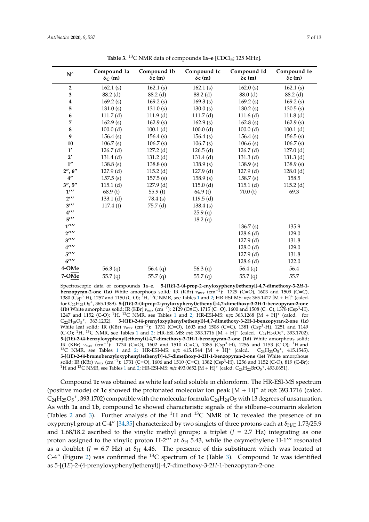<span id="page-6-0"></span>

| $\mathbf{N}^\circ$             | Compound 1a<br>$\delta_C$ (m) | Compound 1b<br>$\delta c$ (m) | Compound 1c<br>$\delta c$ (m) | Compound 1d<br>$\delta c$ (m) | Compound 1e<br>$\delta c$ (m) |
|--------------------------------|-------------------------------|-------------------------------|-------------------------------|-------------------------------|-------------------------------|
| $\overline{2}$                 | 162.1(s)                      | 162.1(s)                      | 162.1(s)                      | 162.0(s)                      | 162.1(s)                      |
| 3                              | $88.2$ (d)                    | $88.2$ (d)                    | $88.2$ (d)                    | $88.0$ (d)                    | $88.2$ (d)                    |
| 4                              | 169.2(s)                      | 169.2(s)                      | 169.3(s)                      | 169.2(s)                      | 169.2(s)                      |
| 5                              | 131.0(s)                      | 131.0(s)                      | 130.0(s)                      | 130.2(s)                      | 130.5(s)                      |
| 6                              | 111.7(d)                      | $111.9$ (d)                   | 111.7(d)                      | $111.6$ (d)                   | 111.8 <sub>(d)</sub>          |
| 7                              | 162.9(s)                      | 162.9(s)                      | 162.9(s)                      | 162.8(s)                      | 162.9(s)                      |
| ${\bf 8}$                      | 100.0(d)                      | $100.1$ (d)                   | 100.0(d)                      | 100.0(d)                      | $100.1$ (d)                   |
| 9                              | 156.4(s)                      | 156.4(s)                      | 156.4(s)                      | 156.4(s)                      | 156.5(s)                      |
| 10                             | 106.7(s)                      | 106.7(s)                      | 106.7(s)                      | 106.6(s)                      | 106.7(s)                      |
| 1'                             | $126.7$ (d)                   | $127.2$ (d)                   | $126.5$ (d)                   | $126.7$ (d)                   | $127.0$ (d)                   |
| $2^{\prime}$                   | $131.4$ (d)                   | $131.2$ (d)                   | $131.4$ (d)                   | $131.3$ (d)                   | $131.3$ (d)                   |
| 1 <sup>''</sup>                | 138.8(s)                      | 138.8(s)                      | 138.9(s)                      | 138.9(s)                      | 138.9(s)                      |
| 2'', 6''                       | $127.9$ (d)                   | $115.2$ (d)                   | $127.9$ (d)                   | $127.9$ (d)                   | $128.0$ (d)                   |
| $4^{\prime\prime}$             | 157.5(s)                      | 157.5(s)                      | 158.9(s)                      | 158.7(s)                      | 158.5                         |
| 3'', 5''                       | $115.1$ (d)                   | $127.9$ (d)                   | $115.0$ (d)                   | $115.1$ (d)                   | $115.2$ (d)                   |
| $1^{\prime\prime\prime}$       | 68.9(t)                       | 55.9 $(t)$                    | 64.9(t)                       | 70.0(t)                       | 69.3                          |
| $2^{\prime\prime\prime}$       | $133.1$ (d)                   | 78.4 (s)                      | $119.5$ (d)                   |                               |                               |
| $3^{\prime\prime\prime}$       | 117.4(t)                      | 75.7(d)                       | 138.4(s)                      |                               |                               |
| $4^{\prime\prime\prime}$       |                               |                               | 25.9(q)                       |                               |                               |
| $5^{\prime\prime\prime}$       |                               |                               | 18.2(q)                       |                               |                               |
| $1^{\prime\prime\prime\prime}$ |                               |                               |                               | 136.7(s)                      | 135.9                         |
| $2^{\prime\prime\prime\prime}$ |                               |                               |                               | $128.6$ (d)                   | 129.0                         |
| $3^{\prime\prime\prime\prime}$ |                               |                               |                               | $127.9$ (d)                   | 131.8                         |
| $4^{\prime\prime\prime\prime}$ |                               |                               |                               | $128.0$ (d)                   | 129.0                         |
| $5^{\prime\prime\prime\prime}$ |                               |                               |                               | $127.9$ (d)                   | 131.8                         |
| $6^{\prime\prime\prime\prime}$ |                               |                               |                               | $128.6$ (d)                   | 122.0                         |
| 4-OMe                          | 56.3 $(q)$                    | 56.4 $(q)$                    | 56.3 $(q)$                    | 56.4 $(q)$                    | 56.4                          |
| 7-OMe                          | 55.7 $(q)$                    | 55.7 $(q)$                    | 55.7 $(q)$                    | 55.7(q)                       | 55.7                          |

**Table 3.** <sup>13</sup>C NMR data of compounds **1a–e** [CDCl<sub>3</sub>; 125 MHz].

Spectroscopic data of compounds 1a–e. 5-[(1E)-2-(4-prop-2-enyloxyphenyl)ethenyl]-4,7-dimethoxy-3-2H-1-<br>benzopyran-2-one (1a) White amorphous solid; IR (KBr)  $\nu_{max}$  (cm<sup>-1</sup>): 1729 (C=O), 1603 and 1509 (C=C), 1380 (Csp<sup>3</sup> -H), 1257 and 1150 (C-O); <sup>1</sup>H, <sup>13</sup>C NMR, see Tables [1](#page-2-0) and [2;](#page-5-0) HR-ESI-MS: *m*/*z* 365.1427 [M + H]<sup>+</sup> (calcd. for C<sub>22</sub>H<sub>21</sub>O<sub>5</sub><sup>+</sup>, 365.1389). **5-[(1E)-2-(4-prop-2-ynyloxyphenyl)ethenyl]-4,7-dimethoxy-3-2H-1-benzopyran-2-one (1b) White amorphous solid; IR (KBr)**  $\nu_{max}$  **(cm<sup>-1</sup>): 2129 (C=C), 1715 (C=O), 1600 and 1508 (C=C), 1378** 1247 and 1152 (C-O); <sup>1</sup>H, <sup>13</sup>C NMR, see Tables [1](#page-2-0) and [2;](#page-5-0) HR-ESI-MS: *m*/*z* 363.1268 [M + H]<sup>+</sup> (calcd. for C22H19O<sup>5</sup> <sup>+</sup>, 363.1232). **5-[(1E)-2-(4-prenyloxyphenyl)ethenyl)]-4,7-dimethoxy-3-2H-1-benzopyran-2-one (1c)** White leaf solid; IR (KBr) <sup>ν</sup>*max* (cm−<sup>1</sup> ): 1731 (C=O), 1603 and 1508 (C=C), 1381 (Csp<sup>3</sup> -H), 1251 and 1149  $(C-O)$ ; <sup>[1](#page-2-0)</sup>H, <sup>13</sup>C NMR, see Tables 1 and [2;](#page-5-0) HR-ESI-MS:  $m/z$  393.1716  $[M + H]$ <sup>+</sup> (calcd.  $C_{24}H_{25}O_5^+$ , 393.1702). **5-[(1E)-2-(4-benzyloxyphenyl)ethenyl)]-4,7-dimethoxy-3-2H-1-benzopyran-2-one (1d)** White amorphous solid; IR (KBr) *v<sub>max</sub>* (cm<sup>−1</sup>): 1734 (C=O), 1602 and 1510 (C=C), 1385 (Csp<sup>3</sup>-H), 1256 and 1153 (C-O); <sup>1</sup>H and <sup>[1](#page-2-0)3</sup>C NMR, see Tables 1 and [2;](#page-5-0) HR-ESI-MS:  $m/z$  415.1544 [M + H]<sup>+</sup> (calcd.  $C_{26}H_{23}O_5^+$ , 415.1545). **5-[(1E)-2-(4-bromobenzyloxyphenyl)ethenyl)]-4,7-dimethoxy-3-2H-1-benzopyran-2-one (1e)** White amorphous solid; IR (KBr) *v<sub>max</sub>* (cm<sup>−1</sup>): 1731 (C=O), 1606 and 1510 (C=C), 1382 (Csp<sup>3</sup>-H), 1256 and 1152 (C-O), 819 (C-Br); <sup>[1](#page-2-0)</sup>H and <sup>13</sup>C NMR, see Tables 1 and [2;](#page-5-0) HR-ESI-MS:  $m/z$  493.0652 [M + H]<sup>+</sup> (calcd. C<sub>26</sub>H<sub>22</sub>BrO<sub>5</sub><sup>+</sup>, 493.0651).

Compound **1c** was obtained as white leaf solid soluble in chloroform. The HR-ESI-MS spectrum (positive mode) of **1c** showed the protonated molecular ion peak  $[M + H]$ <sup>+</sup> at  $m/z$  393.1716 (calcd.  $C_{24}H_{25}O_5$ <sup>+</sup>, 393.1702) compatible with the molecular formula  $C_{24}H_{24}O_5$  with 13 degrees of unsaturation. As with **1a** and **1b**, compound **1c** showed characteristic signals of the stilbene–coumarin skeleton (Tables [2](#page-5-0) and [3\)](#page-6-0). Further analysis of the <sup>1</sup>H and <sup>13</sup>C NMR of **1c** revealed the presence of an oxyprenyl group at C-4" [\[34,](#page-11-16)[35\]](#page-11-17) characterized by two singlets of three protons each at  $\delta_{H/C}$  1.73/25.9 and  $1.68/18.2$  ascribed to the vinylic methyl groups; a triplet  $(J = 2.7 \text{ Hz})$  integrating as one proton assigned to the vinylic proton H-2"' at  $\delta_H$  5.43, while the oxymethylene H-1"' resonated as a doublet ( $J = 6.7$  Hz) at  $\delta_H$  4.46. The presence of this substituent which was located at C-4" (Figure [2\)](#page-5-1) was confirmed the <sup>13</sup>C spectrum of **1c** (Table [3\)](#page-6-0). Compound **1c** was identified as 5-[(1*E*)-2-(4-prenyloxyphenyl)ethenyl)]-4,7-dimethoxy-3-2*H*-1-benzopyran-2-one.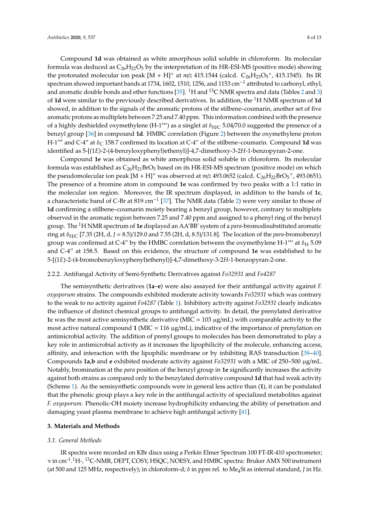Compound **1d** was obtained as white amorphous solid soluble in chloroform. Its molecular formula was deduced as  $C_{26}H_{22}O_5$  by the interpretation of its HR-ESI-MS (positive mode) showing the protonated molecular ion peak  $[M + H]^+$  at  $m/z$  415.1544 (calcd.  $C_{26}H_{23}O_5^+$ , 415.1545). Its IR spectrum showed important bands at 1734, 1602, 1510, 1256, and 1153 cm<sup>-1</sup> attributed to carbonyl, ethyl, and aromatic double bonds and ether functions [\[35\]](#page-11-17). <sup>1</sup>H and <sup>13</sup>C NMR spectra and data (Tables [2](#page-5-0) and [3\)](#page-6-0) of **1d** were similar to the previously described derivatives. In addition, the <sup>1</sup>H NMR spectrum of **1d** showed, in addition to the signals of the aromatic protons of the stilbene–coumarin, another set of five aromatic protons as multiplets between 7.25 and 7.40 ppm. This information combined with the presence of a highly deshielded oxymethylene (H-1"') as a singlet at  $\delta_{H/C}$  5.04/70.0 suggested the presence of a benzyl group [\[36\]](#page-11-18) in compound **1d**. HMBC correlation (Figure [2\)](#page-5-1) between the oxymethylene proton H-1<sup> $prime$ </sup> and C-4" at δ<sub>C</sub> 158.7 confirmed its location at C-4" of the stilbene–coumarin. Compound **1d** was identified as 5-[(1*E*)-2-(4-benzyloxyphenyl)ethenyl)]-4,7-dimethoxy-3-2*H*-1-benzopyran-2-one.

Compound **1e** was obtained as white amorphous solid soluble in chloroform. Its molecular formula was established as  $C_{26}H_{21}BrO_5$  based on its HR-ESI-MS spectrum (positive mode) on which the pseudomolecular ion peak  $[M + H]^+$  was observed at  $m/z$  493.0652 (calcd.  $C_{26}H_{22}BrO_5^+$ , 493.0651). The presence of a bromine atom in compound **1e** was confirmed by two peaks with a 1:1 ratio in the molecular ion region. Moreover, the IR spectrum displayed, in addition to the bands of **1c**, a characteristic band of C-Br at 819 cm<sup>-1</sup> [\[37\]](#page-11-19). The NMR data (Table [2\)](#page-5-0) were very similar to those of **1d** confirming a stilbene–coumarin moiety bearing a benzyl group, however, contrary to multiplets observed in the aromatic region between 7.25 and 7.40 ppm and assigned to a phenyl ring of the benzyl group. The <sup>1</sup>H NMR spectrum of **1e** displayed an AA'BB' system of a *para*-bromodisubstituted aromatic ring at δH/<sup>C</sup> [7.35 (2H, d, *J* = 8.5)/129.0 and 7.55 (2H, d, 8.5)/131.8]. The location of the *para*-bromobenzyl group was confirmed at C-4" by the HMBC correlation between the oxymethylene H-1"' at  $\delta_H$  5.09 and C-4" at 158.5. Based on this evidence, the structure of compound **1e** was established to be 5-[(1*E*)-2-(4-bromobenzyloxyphenyl)ethenyl)]-4,7-dimethoxy-3-2*H*-1-benzopyran-2-one.

#### 2.2.2. Antifungal Activity of Semi-Synthetic Derivatives against *Fo32931* and *Fo4287*

The semisynthetic derivatives (**1a**–**e**) were also assayed for their antifungal activity against *F. oxysporum* strains. The compounds exhibited moderate activity towards *Fo32931* which was contrary to the weak to no activity against *Fo4287* (Table [1\)](#page-2-0). Inhibitory activity against *Fo32931* clearly indicates the influence of distinct chemical groups to antifungal activity. In detail, the prenylated derivative **1c** was the most active semisynthetic derivative (MIC = 103 µg/mL) with comparable activity to the most active natural compound **1** (MIC = 116 µg/mL), indicative of the importance of prenylation on antimicrobial activity. The addition of prenyl groups to molecules has been demonstrated to play a key role in antimicrobial activity as it increases the lipophilicity of the molecule, enhancing access, affinity, and interaction with the lipophilic membrane or by inhibiting RAS transduction [\[38–](#page-11-20)[40\]](#page-11-21). Compounds **1a**,**b** and **e** exhibited moderate activity against *Fo32931* with a MIC of 250–500 µg/mL. Notably, bromination at the *para* position of the benzyl group in **1e** significantly increases the activity against both strains as compared only to the benzylated derivative compound **1d** that had weak activity (Scheme [1\)](#page-4-0). As the semisynthetic compounds were in general less active than (**1**), it can be postulated that the phenolic group plays a key role in the antifungal activity of specialized metabolites against *F. oxysporum.* Phenolic-OH moiety increase hydrophilicity enhancing the ability of penetration and damaging yeast plasma membrane to achieve high antifungal activity [\[41\]](#page-12-0).

## **3. Materials and Methods**

#### *3.1. General Methods*

IR spectra were recorded on KBr discs using a Perkin Elmer Spectrum 100 FT-IR-410 spectrometer; ν in cm<sup>-1</sup>.<sup>1</sup>H-, <sup>13</sup>C-NMR, DEPT, COSY, HSQC, NOESY, and HMBC spectra: Bruker AMX 500 instrument (at 500 and 125 MHz, respectively); in chloroform-d; δ in ppm rel. to Me4Si as internal standard, *J* in Hz.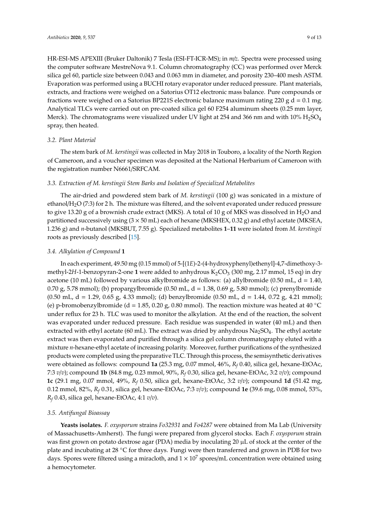HR-ESI-MS APEXIII (Bruker Daltonik) 7 Tesla (ESI-FT-ICR-MS); in *m*/*z*. Spectra were processed using the computer software MestreNova 9.1. Column chromatography (CC) was performed over Merck silica gel 60, particle size between 0.043 and 0.063 mm in diameter, and porosity 230–400 mesh ASTM. Evaporation was performed using a BUCHI rotary evaporator under reduced pressure. Plant materials, extracts, and fractions were weighed on a Satorius OT12 electronic mass balance. Pure compounds or fractions were weighed on a Satorius BP221S electronic balance maximum rating 220 g  $d = 0.1$  mg. Analytical TLCs were carried out on pre-coated silica gel 60 F254 aluminum sheets (0.25 mm layer, Merck). The chromatograms were visualized under UV light at 254 and 366 nm and with  $10\%$   $H_2SO_4$ spray, then heated.

#### *3.2. Plant Material*

The stem bark of *M. kerstingii* was collected in May 2018 in Touboro, a locality of the North Region of Cameroon, and a voucher specimen was deposited at the National Herbarium of Cameroon with the registration number N6661/SRFCAM.

#### *3.3. Extraction of M. kerstingii Stem Barks and Isolation of Specialized Metabolites*

The air-dried and powdered stem bark of *M. kerstingii* (100 g) was sonicated in a mixture of ethanol/H<sub>2</sub>O (7:3) for 2 h. The mixture was filtered, and the solvent evaporated under reduced pressure to give 13.20 g of a brownish crude extract (MKS). A total of 10 g of MKS was dissolved in  $H_2O$  and partitioned successively using  $(3 \times 50 \text{ mL})$  each of hexane (MKSHEX, 0.32 g) and ethyl acetate (MKSEA, 1.236 g) and *n*-butanol (MKSBUT, 7.55 g). Specialized metabolites **1**–**11** were isolated from *M. kerstingii* roots as previously described [\[15\]](#page-10-13).

#### *3.4. Alkylation of Compound* **1**

In each experiment, 49.50 mg (0.15 mmol) of 5-[(1*E*)-2-(4-hydroxyphenyl)ethenyl]-4,7-dimethoxy-3 methyl-2*H*-1-benzopyran-2-one 1 were added to anhydrous  $K_2CO_3$  (300 mg, 2.17 mmol, 15 eq) in dry acetone (10 mL) followed by various alkylbromide as follows: (a) allylbromide (0.50 mL,  $d = 1.40$ , 0.70 g, 5.78 mmol); (b) propargylbromide (0.50 mL, d = 1.38, 0.69 g, 5.80 mmol); (c) prenylbromide (0.50 mL, d = 1.29, 0.65 g, 4.33 mmol); (d) benzylbromide (0.50 mL, d = 1.44, 0.72 g, 4.21 mmol); (e) p-bromobenzylbromide (d = 1.85, 0.20 g, 0.80 mmol). The reaction mixture was heated at 40  $^{\circ}$ C under reflux for 23 h. TLC was used to monitor the alkylation. At the end of the reaction, the solvent was evaporated under reduced pressure. Each residue was suspended in water (40 mL) and then extracted with ethyl acetate (60 mL). The extract was dried by anhydrous  $Na<sub>2</sub>SO<sub>4</sub>$ . The ethyl acetate extract was then evaporated and purified through a silica gel column chromatography eluted with a mixture *n*-hexane-ethyl acetate of increasing polarity. Moreover, further purifications of the synthesized products were completed using the preparative TLC. Through this process, the semisynthetic derivatives were obtained as follows: compound **1a** (25.3 mg, 0.07 mmol, 46%, *R<sup>f</sup>* 0.40, silica gel, hexane-EtOAc, 7:3 *v*/*v*); compound **1b** (84.8 mg, 0.23 mmol, 90%, *R<sup>f</sup>* 0.30, silica gel, hexane-EtOAc, 3:2 *v*/*v*); compound **1c** (29.1 mg, 0.07 mmol, 49%, *R<sup>f</sup>* 0.50, silica gel, hexane-EtOAc, 3:2 *v*/*v*); compound **1d** (51.42 mg, 0.12 mmol, 82%, *R<sup>f</sup>* 0.31, silica gel, hexane-EtOAc, 7:3 *v*/*v*); compound **1e** (39.6 mg, 0.08 mmol, 53%, *R<sup>f</sup>* 0.43, silica gel, hexane-EtOAc, 4:1 *v*/*v*).

#### *3.5. Antifungal Bioassay*

**Yeasts isolates.** *F. oxysporum* strains *Fo32931* and *Fo4287* were obtained from Ma Lab (University of Massachusetts-Amherst). The fungi were prepared from glycerol stocks. Each *F. oxysporum* strain was first grown on potato dextrose agar (PDA) media by inoculating 20  $\mu$ L of stock at the center of the plate and incubating at 28 ◦C for three days. Fungi were then transferred and grown in PDB for two days. Spores were filtered using a miracloth, and  $1 \times 10^7$  spores/mL concentration were obtained using a hemocytometer.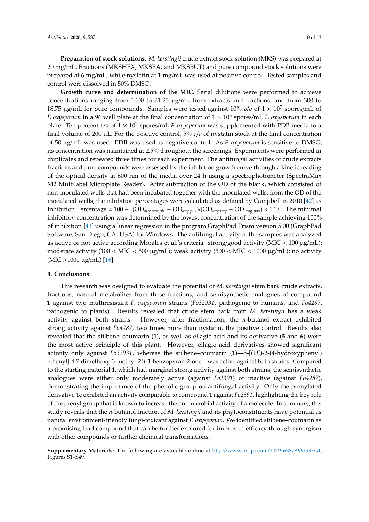**Preparation of stock solutions.** *M. kerstingii* crude extract stock solution (MKS) was prepared at 20 mg/mL. Fractions (MKSHEX, MKSEA, and MKSBUT) and pure compound stock solutions were prepared at 6 mg/mL, while nystatin at 1 mg/mL was used at positive control. Tested samples and

control were dissolved in 50% DMSO. **Growth curve and determination of the MIC.** Serial dilutions were performed to achieve concentrations ranging from 1000 to 31.25 µg/mL from extracts and fractions, and from 300 to 18.75  $\mu$ g/mL for pure compounds. Samples were tested against 10%  $v/v$  of  $1 \times 10^7$  spores/mL of *F. oxysporum* in a 96 well plate at the final concentration of 1 × 10<sup>6</sup> spores/mL *F. oxysporum* in each plate. Ten percent *v*/*v* of 1 × 10<sup>7</sup> spores/mL *F. oxysporum* was supplemented with PDB media to a final volume of 200  $\mu$ L. For the positive control, 5%  $v/v$  of nystatin stock at the final concentration of 50 µg/mL was used. PDB was used as negative control. As *F. oxysporum* is sensitive to DMSO, its concentration was maintained at 2.5% throughout the screenings. Experiments were performed in duplicates and repeated three times for each experiment. The antifungal activities of crude extracts fractions and pure compounds were assessed by the inhibition growth curve through a kinetic reading of the optical density at 600 nm of the media over 24 h using a spectrophotometer (SpectraMax M2 Multilabel Microplate Reader). After subtraction of the OD of the blank, which consisted of non-inoculated wells that had been incubated together with the inoculated wells, from the OD of the inoculated wells, the inhibition percentages were calculated as defined by Campbell in 2010 [\[42\]](#page-12-1) as Inhibition Percentage = 100 − [(OD*avg sample* − OD*avg pos*)/(OD*avg neg* − OD *avg pos*) × 100]. The minimal inhibitory concentration was determined by the lowest concentration of the sample achieving 100% of inhibition [\[43\]](#page-12-2) using a linear regression in the program GraphPad Prism version 5.00 (GraphPad Software, San Diego, CA, USA) for Windows. The antifungal activity of the samples was analyzed as active or not active according Morales et al.'s criteria: strong/good activity ( $MIC < 100 \mu g/mL$ ); moderate activity (100 < MIC < 500  $\mu$ g/mL); weak activity (500 < MIC < 1000  $\mu$ g/mL); no activity  $(MIC > 1000 \mu g/mL)$  [\[16\]](#page-10-14).

#### **4. Conclusions**

This research was designed to evaluate the potential of *M. kerstingii* stem bark crude extracts, fractions, natural metabolites from these fractions, and semisynthetic analogues of compound **1** against two multiresistant *F. oxysporum* strains (*Fo32931*, pathogenic to humans, and *Fo4287*, pathogenic to plants). Results revealed that crude stem bark from *M. kerstingii* has a weak activity against both strains. However, after fractionation, the *n*-butanol extract exhibited strong activity against *Fo4287*, two times more than nystatin, the positive control. Results also revealed that the stilbene–coumarin (**1**), as well as ellagic acid and its derivative (**5** and **6**) were the most active principle of this plant. However, ellagic acid derivatives showed significant activity only against *Fo32931*, whereas the stilbene–coumarin (**1**)—5-[(1*E*)-2-(4-hydroxyphenyl) ethenyl]-4,7-dimethoxy-3-methyl-2*H*-1-benzopyran-2-one—was active against both strains. Compared to the starting material **1**, which had marginal strong activity against both strains, the semisynthetic analogues were either only moderately active (against *Fo2391*) or inactive (against *Fo4287*), demonstrating the importance of the phenolic group on antifungal activity. Only the prenylated derivative **1c** exhibited an activity comparable to compound **1** against *Fo2391*, highlighting the key role of the prenyl group that is known to increase the antimicrobial activity of a molecule. In summary, this study reveals that the *n*-butanol fraction of *M. kerstingii* and its phytoconstituents have potential as natural environment-friendly fungi-toxicant against *F. oxysporum*. We identified stilbene–coumarin as a promising lead compound that can be further explored for improved efficacy through synergism with other compounds or further chemical transformations.

**Supplementary Materials:** The following are available online at http://[www.mdpi.com](http://www.mdpi.com/2079-6382/9/9/537/s1)/2079-6382/9/9/537/s1, Figures S1–S49.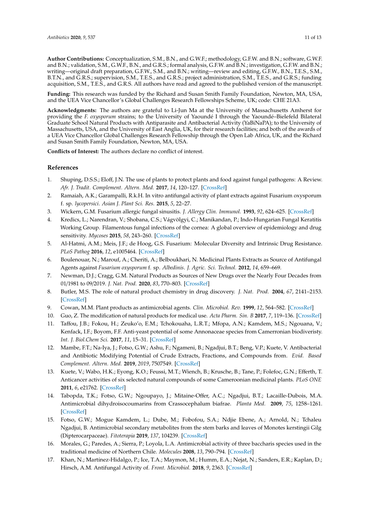**Author Contributions:** Conceptualization, S.M., B.N., and G.W.F.; methodology, G.F.W. and B.N.; software, G.W.F. and B.N.; validation, S.M., G.W.F., B.N., and G.R.S.; formal analysis, G.F.W. and B.N.; investigation, G.F.W. and B.N.; writing—original draft preparation, G.F.W., S.M., and B.N.; writing—review and editing, G.F.W., B.N., T.E.S., S.M., B.T.N., and G.R.S.; supervision, S.M., T.E.S., and G.R.S.; project administration, S.M., T.E.S., and G.R.S.; funding acquisition, S.M., T.E.S., and G.R.S. All authors have read and agreed to the published version of the manuscript.

**Funding:** This research was funded by the Richard and Susan Smith Family Foundation, Newton, MA, USA, and the UEA Vice Chancellor's Global Challenges Research Fellowships Scheme, UK; code: CHE 21A3.

**Acknowledgments:** The authors are grateful to Li-Jun Ma at the University of Massachusetts Amherst for providing the *F. oxysporum* strains; to the University of Yaoundé I through the Yaoundé–Bielefeld Bilateral Graduate School Natural Products with Antiparasite and Antibacterial Activity (YaBiNaPA); to the University of Massachusetts, USA, and the University of East Anglia, UK, for their research facilities; and both of the awards of a UEA Vice Chancellor Global Challenges Research Fellowship through the Open Lab Africa, UK, and the Richard and Susan Smith Family Foundation, Newton, MA, USA.

**Conflicts of Interest:** The authors declare no conflict of interest.

#### **References**

- <span id="page-10-0"></span>1. Shuping, D.S.S.; Eloff, J.N. The use of plants to protect plants and food against fungal pathogens: A Review. *Afr. J. Tradit. Complement. Altern. Med.* **2017**, *14*, 120–127. [\[CrossRef\]](http://dx.doi.org/10.21010/ajtcam.v14i4.14)
- <span id="page-10-1"></span>2. Ramaiah, A.K.; Garampalli, R.k.H. In vitro antifungal activity of plant extracts against Fusarium oxysporum f. sp. *lycopersici*. *Asian J. Plant Sci. Res.* **2015**, *5*, 22–27.
- <span id="page-10-2"></span>3. Wickern, G.M. Fusarium allergic fungal sinusitis. *J. Allergy Clin. Immunol.* **1993**, *92*, 624–625. [\[CrossRef\]](http://dx.doi.org/10.1016/0091-6749(93)90087-V)
- <span id="page-10-3"></span>4. Kredics, L.; Narendran, V.; Shobana, C.S.; Vágvölgyi, C.; Manikandan, P.; Indo-Hungarian Fungal Keratitis Working Group. Filamentous fungal infections of the cornea: A global overview of epidemiology and drug sensitivity. *Mycoses* **2015**, *58*, 243–260. [\[CrossRef\]](http://dx.doi.org/10.1111/myc.12306)
- <span id="page-10-4"></span>5. Al-Hatmi, A.M.; Meis, J.F.; de Hoog, G.S. Fusarium: Molecular Diversity and Intrinsic Drug Resistance. *PLoS Pathog* **2016**, *12*, e1005464. [\[CrossRef\]](http://dx.doi.org/10.1371/journal.ppat.1005464)
- <span id="page-10-5"></span>6. Boulenouar, N.; Marouf, A.; Cheriti, A.; Belboukhari, N. Medicinal Plants Extracts as Source of Antifungal Agents against *Fusarium oxysporum* f. sp. *Albedinis*. *J. Agric. Sci. Technol.* **2012**, *14*, 659–669.
- <span id="page-10-6"></span>7. Newman, D.J.; Cragg, G.M. Natural Products as Sources of New Drugs over the Nearly Four Decades from 01/1981 to 09/2019. *J. Nat. Prod.* **2020**, *83*, 770–803. [\[CrossRef\]](http://dx.doi.org/10.1021/acs.jnatprod.9b01285)
- <span id="page-10-7"></span>8. Butler, M.S. The role of natural product chemistry in drug discovery. *J. Nat. Prod.* **2004**, *67*, 2141–2153. [\[CrossRef\]](http://dx.doi.org/10.1021/np040106y)
- <span id="page-10-8"></span>9. Cowan, M.M. Plant products as antimicrobial agents. *Clin. Microbiol. Rev.* **1999**, *12*, 564–582. [\[CrossRef\]](http://dx.doi.org/10.1128/CMR.12.4.564)
- <span id="page-10-9"></span>10. Guo, Z. The modification of natural products for medical use. *Acta Pharm. Sin. B* **2017**, *7*, 119–136. [\[CrossRef\]](http://dx.doi.org/10.1016/j.apsb.2016.06.003)
- <span id="page-10-10"></span>11. Taffou, J.B.; Fokou, H.; Zeuko'o, E.M.; Tchokouaha, L.R.T.; Mfopa, A.N.; Kamdem, M.S.; Ngouana, V.; Kenfack, I.F.; Boyom, F.F. Anti-yeast potential of some Annonaceae species from Camerronian biodiveristy. *Int. J. Biol.Chem Sci.* **2017**, *11*, 15–31. [\[CrossRef\]](http://dx.doi.org/10.4314/ijbcs.v11i1.2)
- <span id="page-10-11"></span>12. Mambe, F.T.; Na-Iya, J.; Fotso, G.W.; Ashu, F.; Ngameni, B.; Ngadjui, B.T.; Beng, V.P.; Kuete, V. Antibacterial and Antibiotic Modifying Potential of Crude Extracts, Fractions, and Compounds from. *Evid. Based Complement. Altern. Med.* **2019**, *2019*, 7507549. [\[CrossRef\]](http://dx.doi.org/10.1155/2019/7507549)
- 13. Kuete, V.; Wabo, H.K.; Eyong, K.O.; Feussi, M.T.; Wiench, B.; Krusche, B.; Tane, P.; Folefoc, G.N.; Efferth, T. Anticancer activities of six selected natural compounds of some Cameroonian medicinal plants. *PLoS ONE* **2011**, *6*, e21762. [\[CrossRef\]](http://dx.doi.org/10.1371/journal.pone.0021762)
- <span id="page-10-12"></span>14. Tabopda, T.K.; Fotso, G.W.; Ngoupayo, J.; Mitaine-Offer, A.C.; Ngadjui, B.T.; Lacaille-Dubois, M.A. Antimicrobial dihydroisocoumarins from Crassocephalum biafrae. *Planta Med.* **2009**, *75*, 1258–1261. [\[CrossRef\]](http://dx.doi.org/10.1055/s-0029-1185545)
- <span id="page-10-13"></span>15. Fotso, G.W.; Mogue Kamdem, L.; Dube, M.; Fobofou, S.A.; Ndjie Ebene, A.; Arnold, N.; Tchaleu Ngadjui, B. Antimicrobial secondary metabolites from the stem barks and leaves of Monotes kerstingii Gilg (Dipterocarpaceae). *Fitoterapia* **2019**, *137*, 104239. [\[CrossRef\]](http://dx.doi.org/10.1016/j.fitote.2019.104239)
- <span id="page-10-14"></span>16. Morales, G.; Paredes, A.; Sierra, P.; Loyola, L.A. Antimicrobial activity of three baccharis species used in the traditional medicine of Northern Chile. *Molecules* **2008**, *13*, 790–794. [\[CrossRef\]](http://dx.doi.org/10.3390/molecules13040790)
- <span id="page-10-15"></span>17. Khan, N.; Martínez-Hidalgo, P.; Ice, T.A.; Maymon, M.; Humm, E.A.; Nejat, N.; Sanders, E.R.; Kaplan, D.; Hirsch, A.M. Antifungal Activity of. *Front. Microbiol.* **2018**, *9*, 2363. [\[CrossRef\]](http://dx.doi.org/10.3389/fmicb.2018.02363)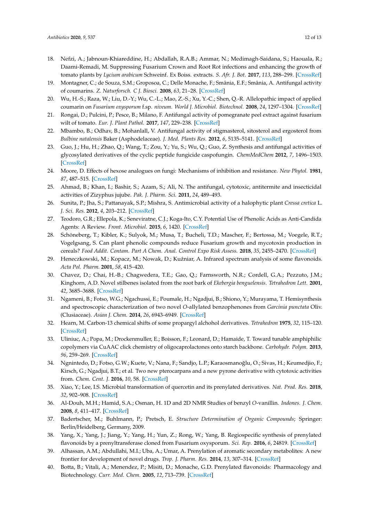- <span id="page-11-0"></span>18. Nefzi, A.; Jabnoun-Khiareddine, H.; Abdallah, R.A.B.; Ammar, N.; Medimagh-Saidana, S.; Haouala, R.; Daami-Remadi, M. Suppressing Fusarium Crown and Root Rot infections and enhancing the growth of tomato plants by *Lycium arabicum* Schweinf. Ex Boiss. extracts. *S. Afr. J. Bot.* **2017**, *113*, 288–299. [\[CrossRef\]](http://dx.doi.org/10.1016/j.sajb.2017.09.002)
- <span id="page-11-1"></span>19. Montagner, C.; de Souza, S.M.; Groposoa, C.; Delle Monache, F.; Smânia, E.F.; Smânia, A. Antifungal activity of coumarins. *Z. Naturforsch. C J. Biosci.* **2008**, *63*, 21–28. [\[CrossRef\]](http://dx.doi.org/10.1515/znc-2008-1-205)
- <span id="page-11-2"></span>20. Wu, H.-S.; Raza, W.; Liu, D.-Y.; Wu, C.-L.; Mao, Z.-S.; Xu, Y.-C.; Shen, Q.-R. Allelopathic impact of applied coumarin on *Fusarium oxysporum* f.sp. *niveum*. *World J. Microbiol. Biotechnol.* **2008**, *24*, 1297–1304. [\[CrossRef\]](http://dx.doi.org/10.1007/s11274-007-9602-5)
- <span id="page-11-3"></span>21. Rongai, D.; Pulcini, P.; Pesce, B.; Milano, F. Antifungal activity of pomegranate peel extract against fusarium wilt of tomato. *Eur. J. Plant Pathol.* **2017**, *147*, 229–238. [\[CrossRef\]](http://dx.doi.org/10.1007/s10658-016-0994-7)
- <span id="page-11-4"></span>22. Mbambo, B.; Odhav, B.; Mohanlall, V. Antifungal activity of stigmasterol, sitosterol and ergosterol from *Bulbine natalensis* Baker (Asphodelaceae). *J. Med. Plants Res.* **2012**, *6*, 5135–5141. [\[CrossRef\]](http://dx.doi.org/10.5897/jmpr12.151)
- <span id="page-11-5"></span>23. Guo, J.; Hu, H.; Zhao, Q.; Wang, T.; Zou, Y.; Yu, S.; Wu, Q.; Guo, Z. Synthesis and antifungal activities of glycosylated derivatives of the cyclic peptide fungicide caspofungin. *ChemMedChem* **2012**, *7*, 1496–1503. [\[CrossRef\]](http://dx.doi.org/10.1002/cmdc.201200214)
- <span id="page-11-6"></span>24. Moore, D. Effects of hexose analogues on fungi: Mechanisms of inhibition and resistance. *New Phytol.* **1981**, *87*, 487–515. [\[CrossRef\]](http://dx.doi.org/10.1111/j.1469-8137.1981.tb03221.x)
- <span id="page-11-7"></span>25. Ahmad, B.; Khan, I.; Bashir, S.; Azam, S.; Ali, N. The antifungal, cytotoxic, antitermite and insecticidal activities of Zizyphus jujube. *Pak. J. Pharm. Sci.* **2011**, *24*, 489–493.
- <span id="page-11-8"></span>26. Sunita, P.; Jha, S.; Pattanayak, S.P.; Mishra, S. Antimicrobial activity of a halophytic plant *Cressa cretica* L. *J. Sci. Res.* **2012**, *4*, 203–212. [\[CrossRef\]](http://dx.doi.org/10.3329/jsr.v4i1.7719)
- <span id="page-11-9"></span>27. Teodoro, G.R.; Ellepola, K.; Seneviratne, C.J.; Koga-Ito, C.Y. Potential Use of Phenolic Acids as Anti-Candida Agents: A Review. *Front. Microbiol.* **2015**, *6*, 1420. [\[CrossRef\]](http://dx.doi.org/10.3389/fmicb.2015.01420)
- <span id="page-11-10"></span>28. Schöneberg, T.; Kibler, K.; Sulyok, M.; Musa, T.; Bucheli, T.D.; Mascher, F.; Bertossa, M.; Voegele, R.T.; Vogelgsang, S. Can plant phenolic compounds reduce Fusarium growth and mycotoxin production in cereals? *Food Addit. Contam. Part A Chem. Anal. Control Expo Risk Assess.* **2018**, *35*, 2455–2470. [\[CrossRef\]](http://dx.doi.org/10.1080/19440049.2018.1538570)
- <span id="page-11-11"></span>29. Heneczkowski, M.; Kopacz, M.; Nowak, D.; Kuźniar, A. Infrared spectrum analysis of some flavonoids. *Acta Pol. Pharm.* **2001**, *58*, 415–420.
- <span id="page-11-12"></span>30. Chavez, D.; Chai, H.-B.; Chagwedera, T.E.; Gao, Q.; Farnsworth, N.R.; Cordell, G.A.; Pezzuto, J.M.; Kinghorn, A.D. Novel stilbenes isolated from the root bark of *Ekebergia benguelensis*. *Tetrahedron Lett.* **2001**, *42*, 3685–3688. [\[CrossRef\]](http://dx.doi.org/10.1016/S0040-4039(01)00560-3)
- <span id="page-11-13"></span>31. Ngameni, B.; Fotso, W.G.; Ngachussi, E.; Poumale, H.; Ngadjui, B.; Shiono, Y.; Murayama, T. Hemisynthesis and spectroscopic characterization of two novel *O*-allylated benzophenones from *Garcinia punctata* Oliv. (Clusiaceae). *Asian J. Chem.* **2014**, *26*, 6943–6949. [\[CrossRef\]](http://dx.doi.org/10.14233/ajchem.2014.17478)
- <span id="page-11-14"></span>32. Hearn, M. Carbon-13 chemical shifts of some propargyl alchohol derivatives. *Tetrahedron* **1975**, *32*, 115–120. [\[CrossRef\]](http://dx.doi.org/10.1016/0040-4020(76)80030-0)
- <span id="page-11-15"></span>33. Uliniuc, A.; Popa, M.; Drockenmuller, E.; Boisson, F.; Leonard, D.; Hamaide, T. Toward tunable amphiphilic copolymers via CuAAC click chemistry of oligocaprolactones onto starch backbone. *Carbohydr. Polym.* **2013**, *96*, 259–269. [\[CrossRef\]](http://dx.doi.org/10.1016/j.carbpol.2013.03.047)
- <span id="page-11-16"></span>34. Ngnintedo, D.; Fotso, G.W.; Kuete, V.; Nana, F.; Sandjo, L.P.; Karaosmanoğlu, O.; Sivas, H.; Keumedjio, F.; Kirsch, G.; Ngadjui, B.T.; et al. Two new pterocarpans and a new pyrone derivative with cytotoxic activities from. *Chem. Cent. J.* **2016**, *10*, 58. [\[CrossRef\]](http://dx.doi.org/10.1186/s13065-016-0204-x)
- <span id="page-11-17"></span>35. Xiao, Y.; Lee, I.S. Microbial transformation of quercetin and its prenylated derivatives. *Nat. Prod. Res.* **2018**, *32*, 902–908. [\[CrossRef\]](http://dx.doi.org/10.1080/14786419.2017.1367780)
- <span id="page-11-18"></span>36. Al-Douh, M.H.; Hamid, S.A.; Osman, H. 1D and 2D NMR Studies of benzyl *O*-vanillin. *Indones. J. Chem.* **2008**, *8*, 411–417. [\[CrossRef\]](http://dx.doi.org/10.22146/ijc.21598)
- <span id="page-11-19"></span>37. Badertscher, M.; Buhlmann, P.; Pretsch, E. *Structure Determination of Organic Compounds*; Springer: Berlin/Heidelberg, Germany, 2009.
- <span id="page-11-20"></span>38. Yang, X.; Yang, J.; Jiang, Y.; Yang, H.; Yun, Z.; Rong, W.; Yang, B. Regiospecific synthesis of prenylated flavonoids by a prenyltransferase cloned from Fusarium oxysporum. *Sci. Rep.* **2016**, *6*, 24819. [\[CrossRef\]](http://dx.doi.org/10.1038/srep24819)
- 39. Alhassan, A.M.; Abdullahi, M.I.; Uba, A.; Umar, A. Prenylation of aromatic secondary metabolites: A new frontier for development of novel drugs. *Trop. J. Pharm. Res.* **2014**, *13*, 307–314. [\[CrossRef\]](http://dx.doi.org/10.4314/tjpr.v13i2.22)
- <span id="page-11-21"></span>40. Botta, B.; Vitali, A.; Menendez, P.; Misiti, D.; Monache, G.D. Prenylated flavonoids: Pharmacology and Biotechnology. *Curr. Med. Chem.* **2005**, *12*, 713–739. [\[CrossRef\]](http://dx.doi.org/10.2174/0929867053202241)